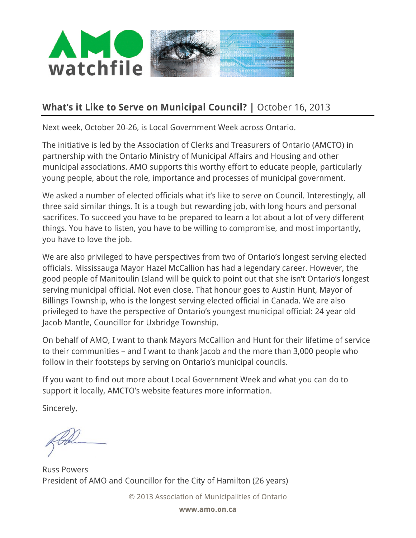

## **What's it Like to Serve on Municipal Council?** | October 16, 2013

Next week, October 20-26, is Local Government Week across Ontario.

The initiative is led by the Association of Clerks and Treasurers of Ontario (AMCTO) in partnership with the Ontario Ministry of Municipal Affairs and Housing and other municipal associations. AMO supports this worthy effort to educate people, particularly young people, about the role, importance and processes of municipal government.

We asked a number of elected officials what it's like to serve on Council. Interestingly, all three said similar things. It is a tough but rewarding job, with long hours and personal sacrifices. To succeed you have to be prepared to learn a lot about a lot of very different things. You have to listen, you have to be willing to compromise, and most importantly, you have to love the job.

We are also privileged to have perspectives from two of Ontario's longest serving elected officials. Mississauga Mayor Hazel McCallion has had a legendary career. However, the good people of Manitoulin Island will be quick to point out that she isn't Ontario's longest serving municipal official. Not even close. That honour goes to Austin Hunt, Mayor of Billings Township, who is the longest serving elected official in Canada. We are also privileged to have the perspective of Ontario's youngest municipal official: 24 year old Jacob Mantle, Councillor for Uxbridge Township.

On behalf of AMO, I want to thank Mayors McCallion and Hunt for their lifetime of service to their communities – and I want to thank Jacob and the more than 3,000 people who follow in their footsteps by serving on Ontario's municipal councils.

If you want to find out more about Local Government Week and what you can do to support it locally, AMCTO's website features more information.

Sincerely,

Russ Powers President of AMO and Councillor for the City of Hamilton (26 years)

© 2013 Association of Municipalities of Ontario

**www.amo.on.ca**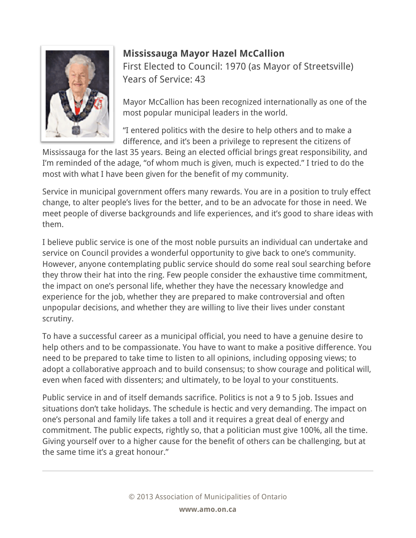

## **Mississauga Mayor Hazel McCallion**

First Elected to Council: 1970 (as Mayor of Streetsville) Years of Service: 43

Mayor McCallion has been recognized internationally as one of the most popular municipal leaders in the world.

"I entered politics with the desire to help others and to make a difference, and it's been a privilege to represent the citizens of

Mississauga for the last 35 years. Being an elected official brings great responsibility, and I'm reminded of the adage, "of whom much is given, much is expected." I tried to do the most with what I have been given for the benefit of my community.

Service in municipal government offers many rewards. You are in a position to truly effect change, to alter people's lives for the better, and to be an advocate for those in need. We meet people of diverse backgrounds and life experiences, and it's good to share ideas with them.

I believe public service is one of the most noble pursuits an individual can undertake and service on Council provides a wonderful opportunity to give back to one's community. However, anyone contemplating public service should do some real soul searching before they throw their hat into the ring. Few people consider the exhaustive time commitment, the impact on one's personal life, whether they have the necessary knowledge and experience for the job, whether they are prepared to make controversial and often unpopular decisions, and whether they are willing to live their lives under constant scrutiny.

To have a successful career as a municipal official, you need to have a genuine desire to help others and to be compassionate. You have to want to make a positive difference. You need to be prepared to take time to listen to all opinions, including opposing views; to adopt a collaborative approach and to build consensus; to show courage and political will, even when faced with dissenters; and ultimately, to be loyal to your constituents.

Public service in and of itself demands sacrifice. Politics is not a 9 to 5 job. Issues and situations don't take holidays. The schedule is hectic and very demanding. The impact on one's personal and family life takes a toll and it requires a great deal of energy and commitment. The public expects, rightly so, that a politician must give 100%, all the time. Giving yourself over to a higher cause for the benefit of others can be challenging, but at the same time it's a great honour."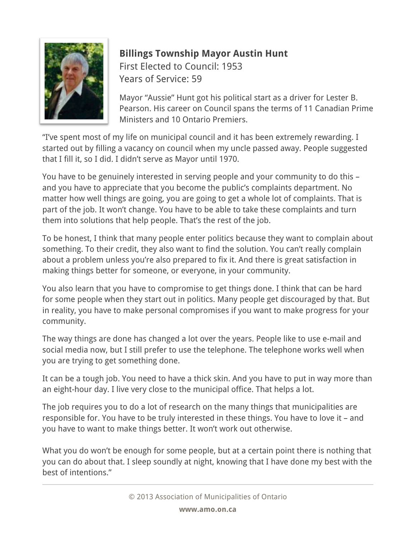

## **Billings Township Mayor Austin Hunt**

First Elected to Council: 1953 Years of Service: 59

Mayor "Aussie" Hunt got his political start as a driver for Lester B. Pearson. His career on Council spans the terms of 11 Canadian Prime Ministers and 10 Ontario Premiers.

"I've spent most of my life on municipal council and it has been extremely rewarding. I started out by filling a vacancy on council when my uncle passed away. People suggested that I fill it, so I did. I didn't serve as Mayor until 1970.

You have to be genuinely interested in serving people and your community to do this – and you have to appreciate that you become the public's complaints department. No matter how well things are going, you are going to get a whole lot of complaints. That is part of the job. It won't change. You have to be able to take these complaints and turn them into solutions that help people. That's the rest of the job.

To be honest, I think that many people enter politics because they want to complain about something. To their credit, they also want to find the solution. You can't really complain about a problem unless you're also prepared to fix it. And there is great satisfaction in making things better for someone, or everyone, in your community.

You also learn that you have to compromise to get things done. I think that can be hard for some people when they start out in politics. Many people get discouraged by that. But in reality, you have to make personal compromises if you want to make progress for your community.

The way things are done has changed a lot over the years. People like to use e-mail and social media now, but I still prefer to use the telephone. The telephone works well when you are trying to get something done.

It can be a tough job. You need to have a thick skin. And you have to put in way more than an eight-hour day. I live very close to the municipal office. That helps a lot.

The job requires you to do a lot of research on the many things that municipalities are responsible for. You have to be truly interested in these things. You have to love it – and you have to want to make things better. It won't work out otherwise.

What you do won't be enough for some people, but at a certain point there is nothing that you can do about that. I sleep soundly at night, knowing that I have done my best with the best of intentions."